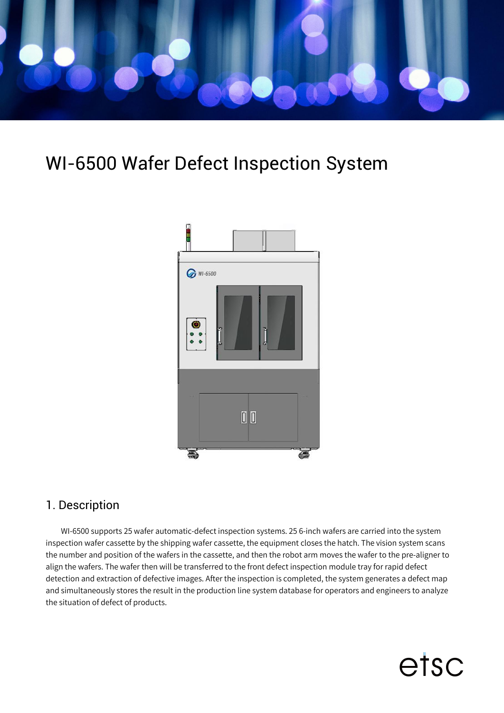

## WI-6500 Wafer Defect Inspection System



## 1. Description

WI-6500 supports 25 wafer automatic-defect inspection systems. 25 6-inch wafers are carried into the system inspection wafer cassette by the shipping wafer cassette, the equipment closes the hatch. The vision system scans the number and position of the wafers in the cassette, and then the robot arm moves the wafer to the pre-aligner to align the wafers. The wafer then will be transferred to the front defect inspection module tray for rapid defect detection and extraction of defective images. After the inspection is completed, the system generates a defect map and simultaneously stores the result in the production line system database for operators and engineers to analyze the situation of defect of products.

etsc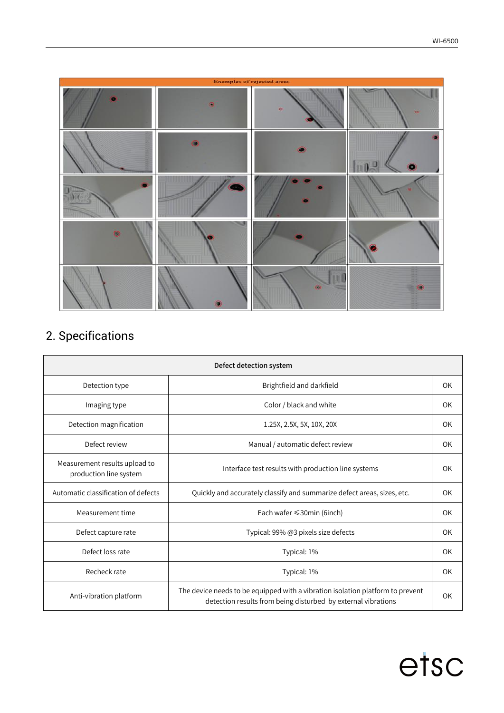

## 2. Specifications

| Defect detection system                                 |                                                                                                                                                 |           |  |
|---------------------------------------------------------|-------------------------------------------------------------------------------------------------------------------------------------------------|-----------|--|
| Detection type                                          | Brightfield and darkfield                                                                                                                       | OK        |  |
| Imaging type                                            | Color / black and white                                                                                                                         | OK        |  |
| Detection magnification                                 | 1.25X, 2.5X, 5X, 10X, 20X                                                                                                                       | OK.       |  |
| Defect review                                           | Manual / automatic defect review                                                                                                                | <b>OK</b> |  |
| Measurement results upload to<br>production line system | Interface test results with production line systems                                                                                             | OK        |  |
| Automatic classification of defects                     | Quickly and accurately classify and summarize defect areas, sizes, etc.                                                                         | <b>OK</b> |  |
| Measurement time                                        | Each wafer $\leq$ 30min (6inch)                                                                                                                 | OK        |  |
| Defect capture rate                                     | Typical: 99% @3 pixels size defects                                                                                                             | OK        |  |
| Defect loss rate                                        | Typical: 1%                                                                                                                                     | OK        |  |
| Recheck rate                                            | Typical: 1%                                                                                                                                     | OK        |  |
| Anti-vibration platform                                 | The device needs to be equipped with a vibration isolation platform to prevent<br>detection results from being disturbed by external vibrations | OK        |  |

## etsc